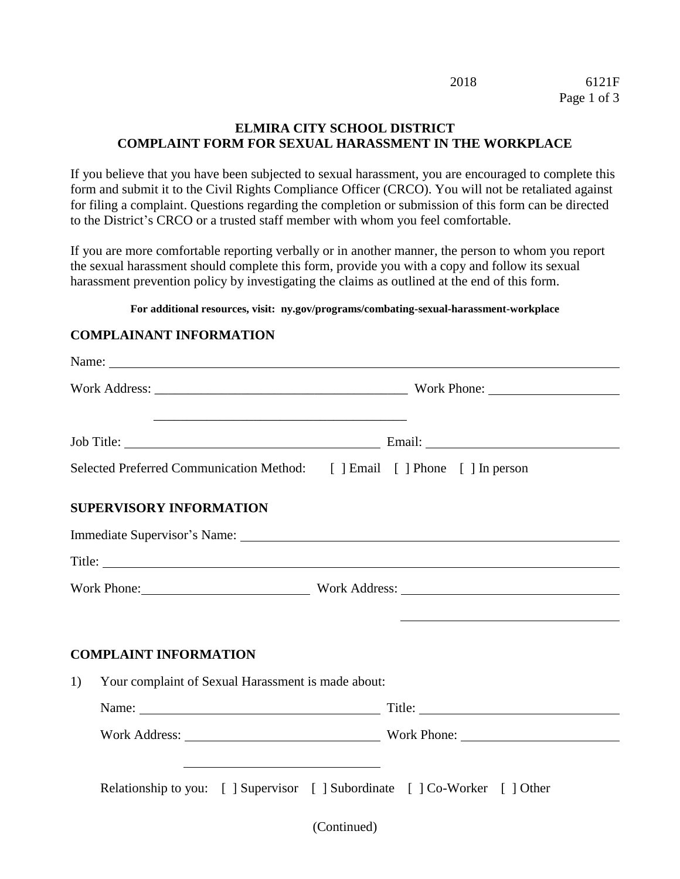|             | 6121F |
|-------------|-------|
| Page 1 of 3 |       |

2018

## **ELMIRA CITY SCHOOL DISTRICT COMPLAINT FORM FOR SEXUAL HARASSMENT IN THE WORKPLACE**

If you believe that you have been subjected to sexual harassment, you are encouraged to complete this form and submit it to the Civil Rights Compliance Officer (CRCO). You will not be retaliated against for filing a complaint. Questions regarding the completion or submission of this form can be directed to the District's CRCO or a trusted staff member with whom you feel comfortable.

If you are more comfortable reporting verbally or in another manner, the person to whom you report the sexual harassment should complete this form, provide you with a copy and follow its sexual harassment prevention policy by investigating the claims as outlined at the end of this form.

**For additional resources, visit: ny.gov/programs/combating-sexual-harassment-workplace**

## **COMPLAINANT INFORMATION**

|    | Selected Preferred Communication Method: [ ] Email [ ] Phone [ ] In person                                                                                                                           |             |                                          |
|----|------------------------------------------------------------------------------------------------------------------------------------------------------------------------------------------------------|-------------|------------------------------------------|
|    | <b>SUPERVISORY INFORMATION</b>                                                                                                                                                                       |             |                                          |
|    | Immediate Supervisor's Name: University of the Supervisor's Name:                                                                                                                                    |             |                                          |
|    |                                                                                                                                                                                                      |             |                                          |
|    |                                                                                                                                                                                                      |             | Work Phone: Work Address: North Address: |
|    |                                                                                                                                                                                                      |             |                                          |
|    | <b>COMPLAINT INFORMATION</b>                                                                                                                                                                         |             |                                          |
| 1) | Your complaint of Sexual Harassment is made about:                                                                                                                                                   |             |                                          |
|    |                                                                                                                                                                                                      |             |                                          |
|    |                                                                                                                                                                                                      |             |                                          |
|    | <u> 1989 - Johann Stoff, deutscher Stoff, der Stoff, der Stoff, der Stoff, der Stoff, der Stoff, der Stoff, der S</u><br>Relationship to you: [ ] Supervisor [ ] Subordinate [ ] Co-Worker [ ] Other |             |                                          |
|    |                                                                                                                                                                                                      | (Continued) |                                          |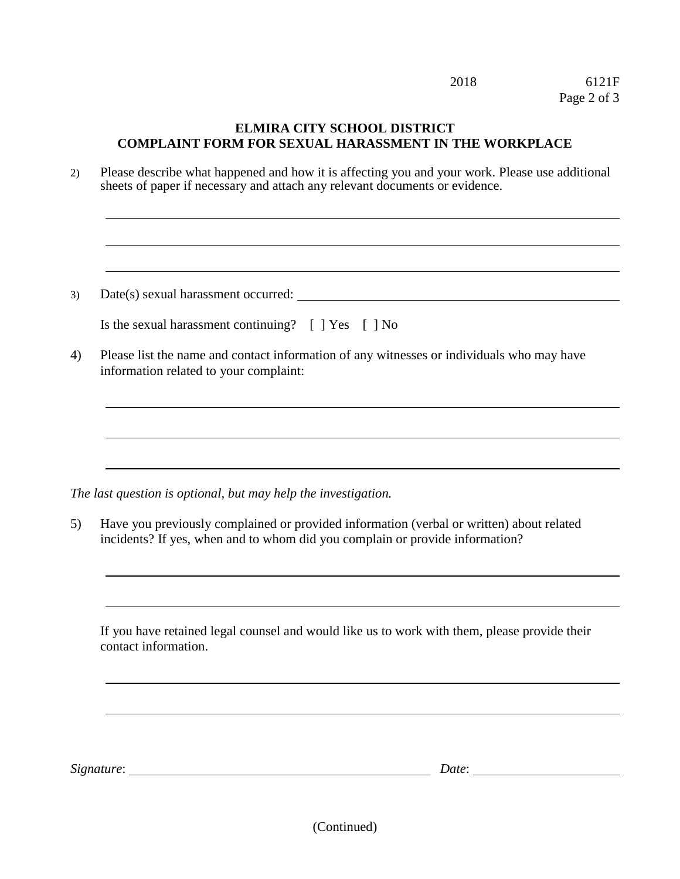|    | 2018<br>6121F<br>Page 2 of 3                                                                                                                                                  |
|----|-------------------------------------------------------------------------------------------------------------------------------------------------------------------------------|
|    | <b>ELMIRA CITY SCHOOL DISTRICT</b><br><b>COMPLAINT FORM FOR SEXUAL HARASSMENT IN THE WORKPLACE</b>                                                                            |
| 2) | Please describe what happened and how it is affecting you and your work. Please use additional<br>sheets of paper if necessary and attach any relevant documents or evidence. |
|    |                                                                                                                                                                               |
| 3) |                                                                                                                                                                               |
|    | Is the sexual harassment continuing? [ ] Yes [ ] No                                                                                                                           |
| 4) | Please list the name and contact information of any witnesses or individuals who may have<br>information related to your complaint:                                           |
|    |                                                                                                                                                                               |
|    | The last question is optional, but may help the investigation.                                                                                                                |
| 5) | Have you previously complained or provided information (verbal or written) about related<br>incidents? If yes, when and to whom did you complain or provide information?      |
|    |                                                                                                                                                                               |
|    | If you have retained legal counsel and would like us to work with them, please provide their<br>contact information.                                                          |
|    |                                                                                                                                                                               |
|    |                                                                                                                                                                               |
|    | Signature:<br>Date:                                                                                                                                                           |

(Continued)